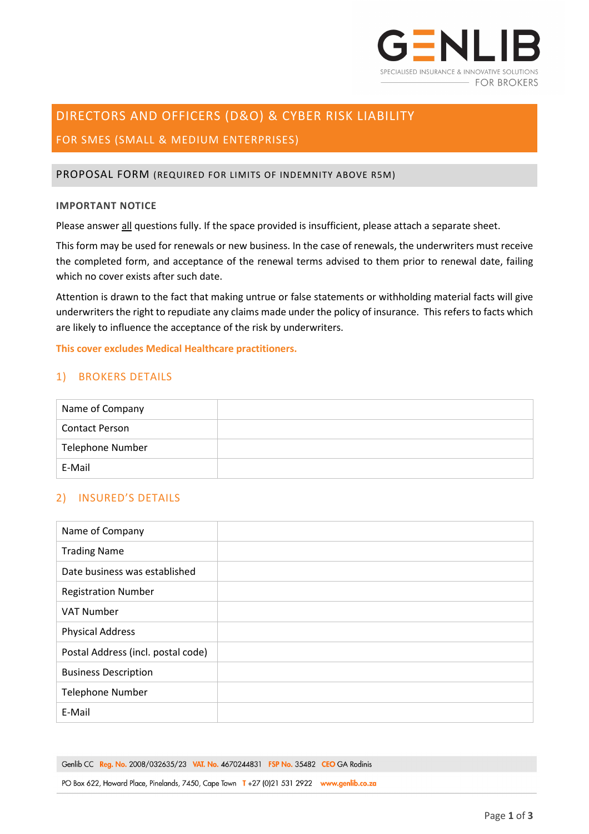

# DIRECTORS AND OFFICERS (D&O) & CYBER RISK LIABILITY

# FOR SMES (SMALL & MEDIUM ENTERPRISES)

#### PROPOSAL FORM (REQUIRED FOR LIMITS OF INDEMNITY ABOVE R5M)

#### **IMPORTANT NOTICE**

Please answer all questions fully. If the space provided is insufficient, please attach a separate sheet.

This form may be used for renewals or new business. In the case of renewals, the underwriters must receive the completed form, and acceptance of the renewal terms advised to them prior to renewal date, failing which no cover exists after such date.

Attention is drawn to the fact that making untrue or false statements or withholding material facts will give underwriters the right to repudiate any claims made under the policy of insurance. This refers to facts which are likely to influence the acceptance of the risk by underwriters.

**This cover excludes Medical Healthcare practitioners.**

## 1) BROKERS DETAILS

| Name of Company         |  |
|-------------------------|--|
| <b>Contact Person</b>   |  |
| <b>Telephone Number</b> |  |
| E-Mail                  |  |

# 2) INSURED'S DETAILS

| Name of Company                    |  |
|------------------------------------|--|
| <b>Trading Name</b>                |  |
| Date business was established      |  |
| <b>Registration Number</b>         |  |
| <b>VAT Number</b>                  |  |
| <b>Physical Address</b>            |  |
| Postal Address (incl. postal code) |  |
| <b>Business Description</b>        |  |
| <b>Telephone Number</b>            |  |
| E-Mail                             |  |

Genlib CC Reg. No. 2008/032635/23 VAT. No. 4670244831 FSP No. 35482 CEO GA Rodinis

PO Box 622, Howard Place, Pinelands, 7450, Cape Town T +27 (0)21 531 2922 www.genlib.co.za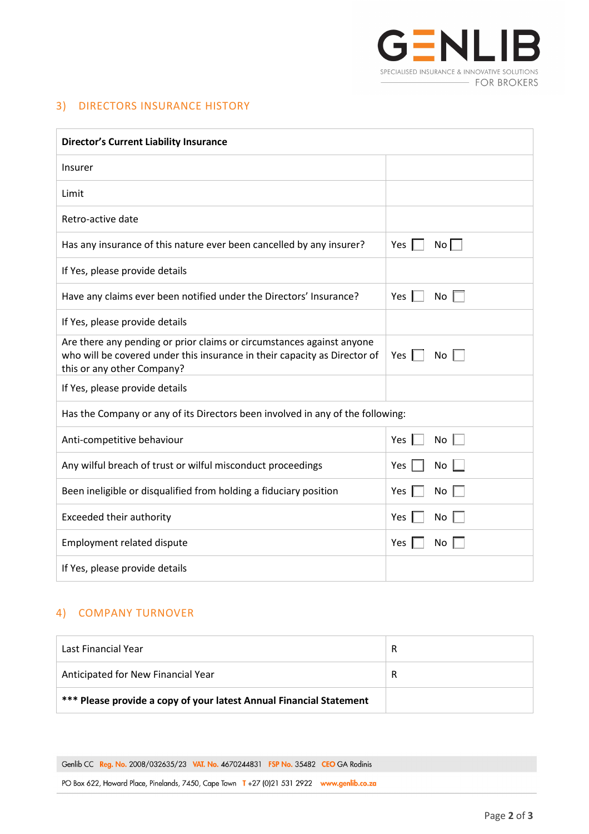

## 3) DIRECTORS INSURANCE HISTORY

| <b>Director's Current Liability Insurance</b>                                                                                                                                    |                                   |  |
|----------------------------------------------------------------------------------------------------------------------------------------------------------------------------------|-----------------------------------|--|
| Insurer                                                                                                                                                                          |                                   |  |
| Limit                                                                                                                                                                            |                                   |  |
| Retro-active date                                                                                                                                                                |                                   |  |
| Has any insurance of this nature ever been cancelled by any insurer?                                                                                                             | Yes $\parallel$ $\parallel$<br>No |  |
| If Yes, please provide details                                                                                                                                                   |                                   |  |
| Have any claims ever been notified under the Directors' Insurance?                                                                                                               | Yes $\parallel$<br>$No \ \Box$    |  |
| If Yes, please provide details                                                                                                                                                   |                                   |  |
| Are there any pending or prior claims or circumstances against anyone<br>who will be covered under this insurance in their capacity as Director of<br>this or any other Company? | Yes $\mathbb I$<br>No $\Box$      |  |
| If Yes, please provide details                                                                                                                                                   |                                   |  |
| Has the Company or any of its Directors been involved in any of the following:                                                                                                   |                                   |  |
| Anti-competitive behaviour                                                                                                                                                       | Yes<br>No                         |  |
| Any wilful breach of trust or wilful misconduct proceedings                                                                                                                      | Yes<br>No                         |  |
| Been ineligible or disqualified from holding a fiduciary position                                                                                                                | Yes<br>No                         |  |
| Exceeded their authority                                                                                                                                                         | Yes<br>No                         |  |
| <b>Employment related dispute</b>                                                                                                                                                | Yes<br>No                         |  |
| If Yes, please provide details                                                                                                                                                   |                                   |  |

# 4) COMPANY TURNOVER

| Last Financial Year                                                 | R |
|---------------------------------------------------------------------|---|
| Anticipated for New Financial Year                                  | R |
| *** Please provide a copy of your latest Annual Financial Statement |   |

Genlib CC Reg. No. 2008/032635/23 VAT. No. 4670244831 FSP No. 35482 CEO GA Rodinis

PO Box 622, Howard Place, Pinelands, 7450, Cape Town T +27 (0)21 531 2922 www.genlib.co.za